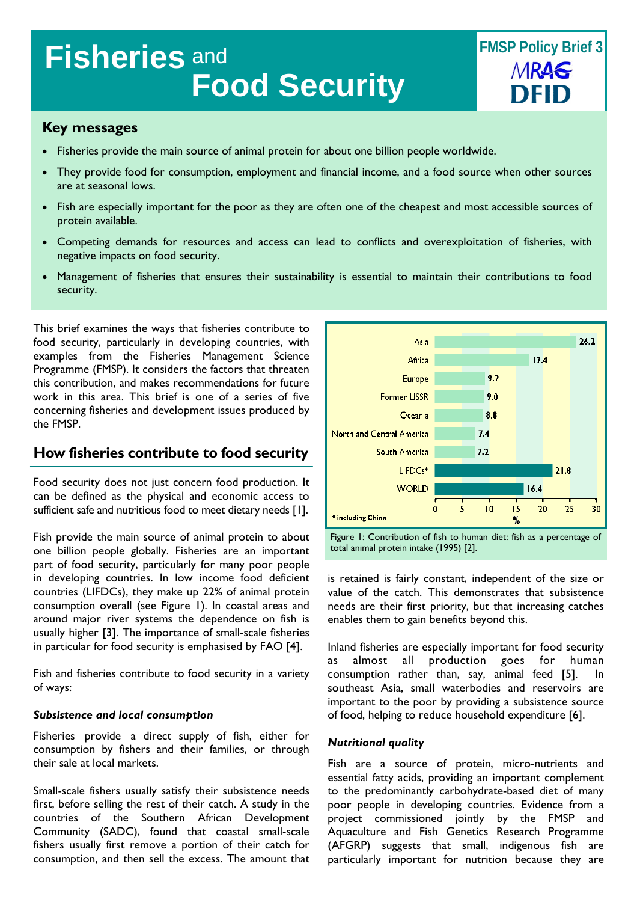# **Fisheries** and **Food Security**

## **Key messages**

- Fisheries provide the main source of animal protein for about one billion people worldwide.
- They provide food for consumption, employment and financial income, and a food source when other sources are at seasonal lows.
- Fish are especially important for the poor as they are often one of the cheapest and most accessible sources of protein available.
- Competing demands for resources and access can lead to conflicts and overexploitation of fisheries, with negative impacts on food security.
- Management of fisheries that ensures their sustainability is essential to maintain their contributions to food security.

This brief examines the ways that fisheries contribute to food security, particularly in developing countries, with examples from the Fisheries Management Science Programme (FMSP). It considers the factors that threaten this contribution, and makes recommendations for future work in this area. This brief is one of a series of five concerning fisheries and development issues produced by the FMSP.

# **How fisheries contribute to food security**

Food security does not just concern food production. It can be defined as the physical and economic access to sufficient safe and nutritious food to meet dietary needs [1].

Fish provide the main source of animal protein to about one billion people globally. Fisheries are an important part of food security, particularly for many poor people in developing countries. In low income food deficient countries (LIFDCs), they make up 22% of animal protein consumption overall (see Figure 1). In coastal areas and around major river systems the dependence on fish is usually higher [3]. The importance of small-scale fisheries in particular for food security is emphasised by FAO [4].

Fish and fisheries contribute to food security in a variety of ways:

#### *Subsistence and local consumption*

Fisheries provide a direct supply of fish, either for consumption by fishers and their families, or through their sale at local markets.

Small-scale fishers usually satisfy their subsistence needs first, before selling the rest of their catch. A study in the countries of the Southern African Development Community (SADC), found that coastal small-scale fishers usually first remove a portion of their catch for consumption, and then sell the excess. The amount that





is retained is fairly constant, independent of the size or value of the catch. This demonstrates that subsistence needs are their first priority, but that increasing catches enables them to gain benefits beyond this.

Inland fisheries are especially important for food security as almost all production goes for human consumption rather than, say, animal feed [5]. In southeast Asia, small waterbodies and reservoirs are important to the poor by providing a subsistence source of food, helping to reduce household expenditure [6].

#### *Nutritional quality*

Fish are a source of protein, micro-nutrients and essential fatty acids, providing an important complement to the predominantly carbohydrate-based diet of many poor people in developing countries. Evidence from a project commissioned jointly by the FMSP and Aquaculture and Fish Genetics Research Programme (AFGRP) suggests that small, indigenous fish are particularly important for nutrition because they are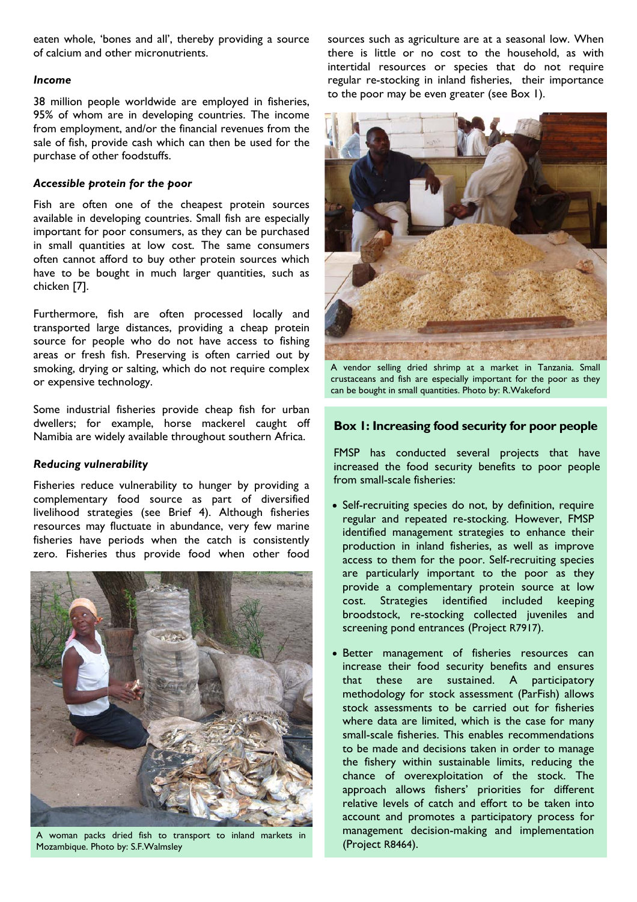eaten whole, 'bones and all', thereby providing a source of calcium and other micronutrients.

#### *Income*

38 million people worldwide are employed in fisheries, 95% of whom are in developing countries. The income from employment, and/or the financial revenues from the sale of fish, provide cash which can then be used for the purchase of other foodstuffs.

#### *Accessible protein for the poor*

Fish are often one of the cheapest protein sources available in developing countries. Small fish are especially important for poor consumers, as they can be purchased in small quantities at low cost. The same consumers often cannot afford to buy other protein sources which have to be bought in much larger quantities, such as chicken [7].

Furthermore, fish are often processed locally and transported large distances, providing a cheap protein source for people who do not have access to fishing areas or fresh fish. Preserving is often carried out by smoking, drying or salting, which do not require complex or expensive technology.

Some industrial fisheries provide cheap fish for urban dwellers; for example, horse mackerel caught off Namibia are widely available throughout southern Africa.

#### *Reducing vulnerability*

Fisheries reduce vulnerability to hunger by providing a complementary food source as part of diversified livelihood strategies (see Brief 4). Although fisheries resources may fluctuate in abundance, very few marine fisheries have periods when the catch is consistently zero. Fisheries thus provide food when other food



A woman packs dried fish to transport to inland markets in Filamagement dentity of the Mozambique. Photo by: S.F. Walmsley Mozambique. Photo by: S.F.Walmsley

sources such as agriculture are at a seasonal low. When there is little or no cost to the household, as with intertidal resources or species that do not require regular re-stocking in inland fisheries, their importance to the poor may be even greater (see Box 1).



A vendor selling dried shrimp at a market in Tanzania. Small crustaceans and fish are especially important for the poor as they can be bought in small quantities. Photo by: R.Wakeford

## **Box 1: Increasing food security for poor people**

FMSP has conducted several projects that have increased the food security benefits to poor people from small-scale fisheries:

- Self-recruiting species do not, by definition, require regular and repeated re-stocking. However, FMSP identified management strategies to enhance their production in inland fisheries, as well as improve access to them for the poor. Self-recruiting species are particularly important to the poor as they provide a complementary protein source at low cost. Strategies identified included keeping broodstock, re-stocking collected juveniles and screening pond entrances (Project R7917).
- Better management of fisheries resources can increase their food security benefits and ensures that these are sustained. A participatory methodology for stock assessment (ParFish) allows stock assessments to be carried out for fisheries where data are limited, which is the case for many small-scale fisheries. This enables recommendations to be made and decisions taken in order to manage the fishery within sustainable limits, reducing the chance of overexploitation of the stock. The approach allows fishers' priorities for different relative levels of catch and effort to be taken into account and promotes a participatory process for management decision-making and implementation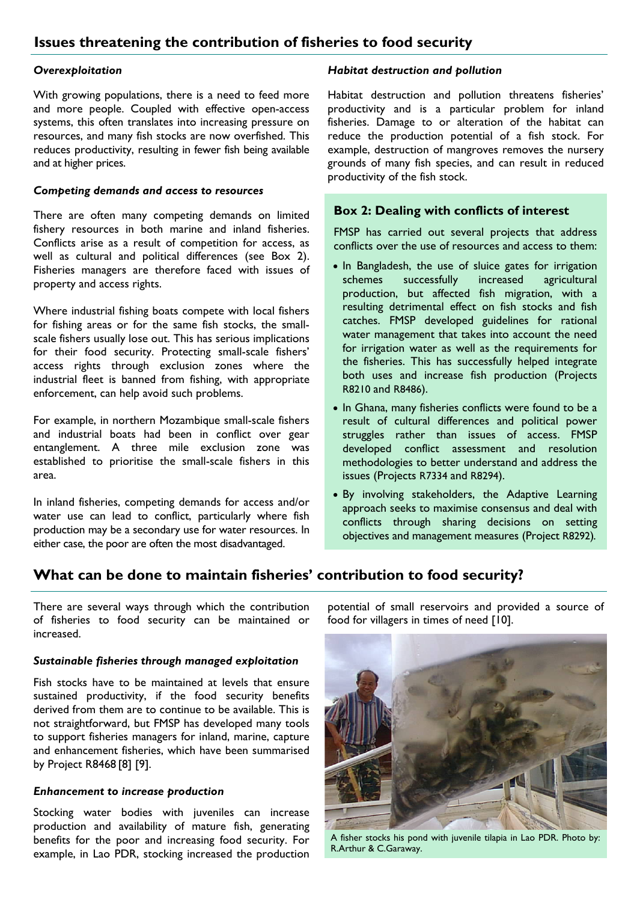#### *Overexploitation*

With growing populations, there is a need to feed more and more people. Coupled with effective open-access systems, this often translates into increasing pressure on resources, and many fish stocks are now overfished. This reduces productivity, resulting in fewer fish being available and at higher prices.

## *Competing demands and access to resources*

There are often many competing demands on limited fishery resources in both marine and inland fisheries. Conflicts arise as a result of competition for access, as well as cultural and political differences (see Box 2). Fisheries managers are therefore faced with issues of property and access rights.

Where industrial fishing boats compete with local fishers for fishing areas or for the same fish stocks, the smallscale fishers usually lose out. This has serious implications for their food security. Protecting small-scale fishers' access rights through exclusion zones where the industrial fleet is banned from fishing, with appropriate enforcement, can help avoid such problems.

For example, in northern Mozambique small-scale fishers and industrial boats had been in conflict over gear entanglement. A three mile exclusion zone was established to prioritise the small-scale fishers in this area.

In inland fisheries, competing demands for access and/or water use can lead to conflict, particularly where fish production may be a secondary use for water resources. In either case, the poor are often the most disadvantaged.

## *Habitat destruction and pollution*

Habitat destruction and pollution threatens fisheries' productivity and is a particular problem for inland fisheries. Damage to or alteration of the habitat can reduce the production potential of a fish stock. For example, destruction of mangroves removes the nursery grounds of many fish species, and can result in reduced productivity of the fish stock.

## **Box 2: Dealing with conflicts of interest**

FMSP has carried out several projects that address conflicts over the use of resources and access to them:

- In Bangladesh, the use of sluice gates for irrigation schemes successfully increased agricultural production, but affected fish migration, with a resulting detrimental effect on fish stocks and fish catches. FMSP developed guidelines for rational water management that takes into account the need for irrigation water as well as the requirements for the fisheries. This has successfully helped integrate both uses and increase fish production (Projects R8210 and R8486).
- In Ghana, many fisheries conflicts were found to be a result of cultural differences and political power struggles rather than issues of access. FMSP developed conflict assessment and resolution methodologies to better understand and address the issues (Projects R7334 and R8294).
- By involving stakeholders, the Adaptive Learning approach seeks to maximise consensus and deal with conflicts through sharing decisions on setting objectives and management measures (Project R8292)*.*

# **What can be done to maintain fisheries' contribution to food security?**

There are several ways through which the contribution of fisheries to food security can be maintained or increased.

## *Sustainable fisheries through managed exploitation*

Fish stocks have to be maintained at levels that ensure sustained productivity, if the food security benefits derived from them are to continue to be available. This is not straightforward, but FMSP has developed many tools to support fisheries managers for inland, marine, capture and enhancement fisheries, which have been summarised by Project R8468 [8] [9].

#### *Enhancement to increase production*

Stocking water bodies with juveniles can increase production and availability of mature fish, generating benefits for the poor and increasing food security. For example, in Lao PDR, stocking increased the production potential of small reservoirs and provided a source of food for villagers in times of need [10].



A fisher stocks his pond with juvenile tilapia in Lao PDR. Photo by: R.Arthur & C.Garaway.